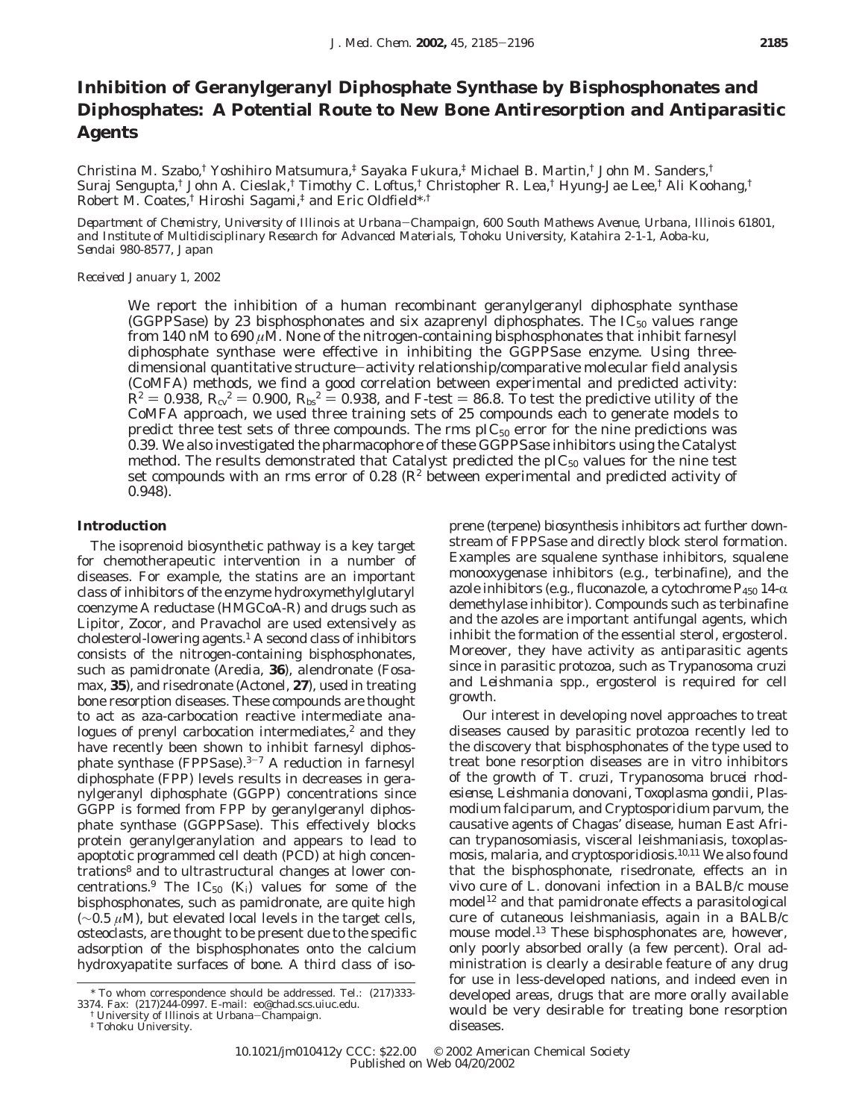# **Inhibition of Geranylgeranyl Diphosphate Synthase by Bisphosphonates and Diphosphates: A Potential Route to New Bone Antiresorption and Antiparasitic Agents**

Christina M. Szabo,† Yoshihiro Matsumura,‡ Sayaka Fukura,‡ Michael B. Martin,† John M. Sanders,† Suraj Sengupta,† John A. Cieslak,† Timothy C. Loftus,† Christopher R. Lea,† Hyung-Jae Lee,† Ali Koohang,† Robert M. Coates,† Hiroshi Sagami,‡ and Eric Oldfield\*,†

*Department of Chemistry, University of Illinois at Urbana*-*Champaign, 600 South Mathews Avenue, Urbana, Illinois 61801, and Institute of Multidisciplinary Research for Advanced Materials, Tohoku University, Katahira 2-1-1, Aoba-ku, Sendai 980-8577, Japan*

### *Received January 1, 2002*

We report the inhibition of a human recombinant geranylgeranyl diphosphate synthase (GGPPSase) by 23 bisphosphonates and six azaprenyl diphosphates. The  $IC_{50}$  values range from 140 nM to 690 *µ*M. None of the nitrogen-containing bisphosphonates that inhibit farnesyl diphosphate synthase were effective in inhibiting the GGPPSase enzyme. Using threedimensional quantitative structure-activity relationship/comparative molecular field analysis (CoMFA) methods, we find a good correlation between experimental and predicted activity:  $R^2 = 0.938$ ,  $R_{\rm cv}^2 = 0.900$ ,  $R_{\rm bs}^2 = 0.938$ , and *F*-test = 86.8. To test the predictive utility of the CoMFA approach, we used three training sets of 25 compounds each to generate models to predict three test sets of three compounds. The rms  $pIC_{50}$  error for the nine predictions was 0.39. We also investigated the pharmacophore of these GGPPSase inhibitors using the Catalyst method. The results demonstrated that Catalyst predicted the  $\text{pIC}_{50}$  values for the nine test set compounds with an rms error of 0.28  $(R^2)$  between experimental and predicted activity of 0.948).

## **Introduction**

The isoprenoid biosynthetic pathway is a key target for chemotherapeutic intervention in a number of diseases. For example, the statins are an important class of inhibitors of the enzyme hydroxymethylglutaryl coenzyme A reductase (HMGCoA-R) and drugs such as Lipitor, Zocor, and Pravachol are used extensively as cholesterol-lowering agents.<sup>1</sup> A second class of inhibitors consists of the nitrogen-containing bisphosphonates, such as pamidronate (Aredia, **36**), alendronate (Fosamax, **35**), and risedronate (Actonel, **27**), used in treating bone resorption diseases. These compounds are thought to act as aza-carbocation reactive intermediate analogues of prenyl carbocation intermediates, $2$  and they have recently been shown to inhibit farnesyl diphosphate synthase (FPPSase).3-<sup>7</sup> A reduction in farnesyl diphosphate (FPP) levels results in decreases in geranylgeranyl diphosphate (GGPP) concentrations since GGPP is formed from FPP by geranylgeranyl diphosphate synthase (GGPPSase). This effectively blocks protein geranylgeranylation and appears to lead to apoptotic programmed cell death (PCD) at high concentrations<sup>8</sup> and to ultrastructural changes at lower concentrations.<sup>9</sup> The IC<sub>50</sub>  $(K_i)$  values for some of the bisphosphonates, such as pamidronate, are quite high (∼0.5 *µ*M), but elevated local levels in the target cells, osteoclasts, are thought to be present due to the specific adsorption of the bisphosphonates onto the calcium hydroxyapatite surfaces of bone. A third class of isoprene (terpene) biosynthesis inhibitors act further downstream of FPPSase and directly block sterol formation. Examples are squalene synthase inhibitors, squalene monooxygenase inhibitors (e.g., terbinafine), and the azole inhibitors (e.g., fluconazole, a cytochrome  $P_{450}$  14- $\alpha$ demethylase inhibitor). Compounds such as terbinafine and the azoles are important antifungal agents, which inhibit the formation of the essential sterol, ergosterol. Moreover, they have activity as antiparasitic agents since in parasitic protozoa, such as *Trypanosoma cruzi* and *Leishmania* spp., ergosterol is required for cell growth.

Our interest in developing novel approaches to treat diseases caused by parasitic protozoa recently led to the discovery that bisphosphonates of the type used to treat bone resorption diseases are in vitro inhibitors of the growth of *T. cruzi*, *Trypanosoma brucei rhodesiense*, *Leishmania donovani*, *Toxoplasma gondii*, *Plasmodium falciparum*, and *Cryptosporidium parvum*, the causative agents of Chagas' disease, human East African trypanosomiasis, visceral leishmaniasis, toxoplasmosis, malaria, and cryptosporidiosis.10,11 We also found that the bisphosphonate, risedronate, effects an in vivo cure of *L. donovani* infection in a BALB/c mouse model<sup>12</sup> and that pamidronate effects a parasitological cure of cutaneous leishmaniasis, again in a BALB/c mouse model.13 These bisphosphonates are, however, only poorly absorbed orally (a few percent). Oral administration is clearly a desirable feature of any drug for use in less-developed nations, and indeed even in developed areas, drugs that are more orally available would be very desirable for treating bone resorption diseases.

<sup>\*</sup> To whom correspondence should be addressed. Tel.: (217)333- 3374. Fax: (217)244-0997. E-mail: eo@chad.scs.uiuc.edu.

 $^\dagger$  University of Illinois at Urbana–Champaign. $^\ddagger$ Tohoku University.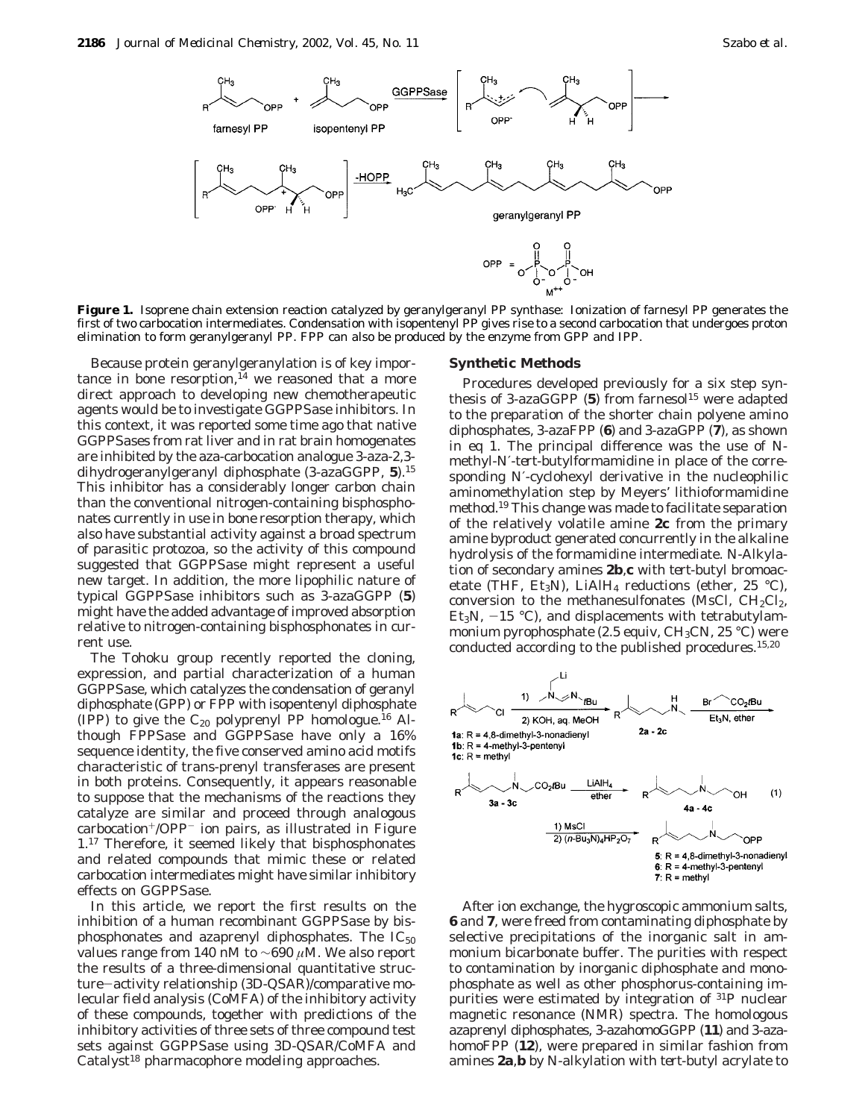

**Figure 1.** Isoprene chain extension reaction catalyzed by geranylgeranyl PP synthase: Ionization of farnesyl PP generates the first of two carbocation intermediates. Condensation with isopentenyl PP gives rise to a second carbocation that undergoes proton elimination to form geranylgeranyl PP. FPP can also be produced by the enzyme from GPP and IPP.

Because protein geranylgeranylation is of key importance in bone resorption, $^{14}$  we reasoned that a more direct approach to developing new chemotherapeutic agents would be to investigate GGPPSase inhibitors. In this context, it was reported some time ago that native GGPPSases from rat liver and in rat brain homogenates are inhibited by the aza-carbocation analogue 3-aza-2,3 dihydrogeranylgeranyl diphosphate (3-azaGGPP, **5**).15 This inhibitor has a considerably longer carbon chain than the conventional nitrogen-containing bisphosphonates currently in use in bone resorption therapy, which also have substantial activity against a broad spectrum of parasitic protozoa, so the activity of this compound suggested that GGPPSase might represent a useful new target. In addition, the more lipophilic nature of typical GGPPSase inhibitors such as 3-azaGGPP (**5**) might have the added advantage of improved absorption relative to nitrogen-containing bisphosphonates in current use.

The Tohoku group recently reported the cloning, expression, and partial characterization of a human GGPPSase, which catalyzes the condensation of geranyl diphosphate (GPP) or FPP with isopentenyl diphosphate (IPP) to give the  $C_{20}$  polyprenyl PP homologue.<sup>16</sup> Although FPPSase and GGPPSase have only a 16% sequence identity, the five conserved amino acid motifs characteristic of trans-prenyl transferases are present in both proteins. Consequently, it appears reasonable to suppose that the mechanisms of the reactions they catalyze are similar and proceed through analogous carbocation+/OPP- ion pairs, as illustrated in Figure 1.17 Therefore, it seemed likely that bisphosphonates and related compounds that mimic these or related carbocation intermediates might have similar inhibitory effects on GGPPSase.

In this article, we report the first results on the inhibition of a human recombinant GGPPSase by bisphosphonates and azaprenyl diphosphates. The  $IC_{50}$ values range from 140 nM to ∼690 *µ*M. We also report the results of a three-dimensional quantitative structure-activity relationship (3D-QSAR)/comparative molecular field analysis (CoMFA) of the inhibitory activity of these compounds, together with predictions of the inhibitory activities of three sets of three compound test sets against GGPPSase using 3D-QSAR/CoMFA and Catalyst<sup>18</sup> pharmacophore modeling approaches.

#### **Synthetic Methods**

Procedures developed previously for a six step synthesis of  $3$ -azaGGPP  $(5)$  from farnesol<sup>15</sup> were adapted to the preparation of the shorter chain polyene amino diphosphates, 3-azaFPP (**6**) and 3-azaGPP (**7**), as shown in eq 1. The principal difference was the use of *N*methyl-*N*′-*tert*-butylformamidine in place of the corresponding *N*′-cyclohexyl derivative in the nucleophilic aminomethylation step by Meyers' lithioformamidine method.19 This change was made to facilitate separation of the relatively volatile amine **2c** from the primary amine byproduct generated concurrently in the alkaline hydrolysis of the formamidine intermediate. *N*-Alkylation of secondary amines **2b**,**c** with *tert*-butyl bromoacetate (THF, Et<sub>3</sub>N), LiAlH<sub>4</sub> reductions (ether, 25 °C), conversion to the methanesulfonates (MsCl,  $CH_2Cl_2$ , Et<sub>3</sub>N,  $-15$  °C), and displacements with tetrabutylammonium pyrophosphate (2.5 equiv,  $CH_3CN$ , 25 °C) were conducted according to the published procedures.15,20



After ion exchange, the hygroscopic ammonium salts, **6** and **7**, were freed from contaminating diphosphate by selective precipitations of the inorganic salt in ammonium bicarbonate buffer. The purities with respect to contamination by inorganic diphosphate and monophosphate as well as other phosphorus-containing impurities were estimated by integration of 31P nuclear magnetic resonance (NMR) spectra. The homologous azaprenyl diphosphates, 3-azahomoGGPP (**11**) and 3-azahomoFPP (**12**), were prepared in similar fashion from amines **2a**,**b** by *N*-alkylation with *tert*-butyl acrylate to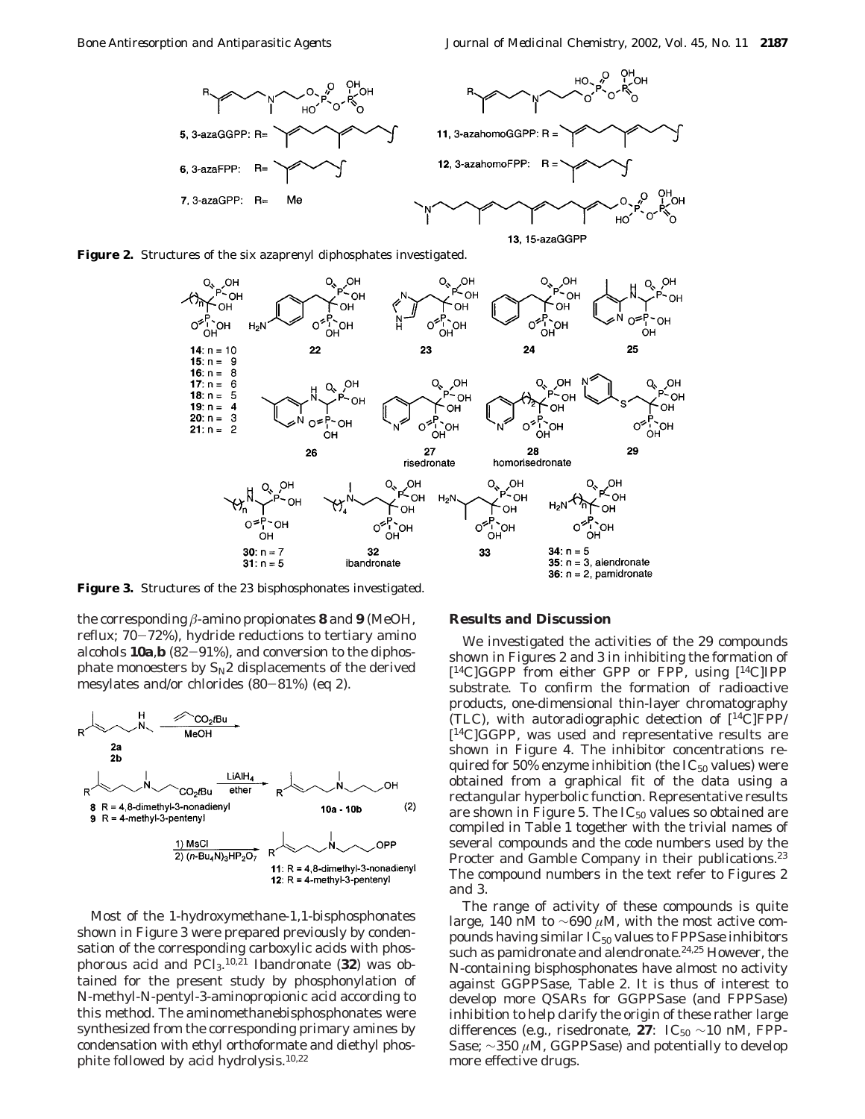





**Figure 3.** Structures of the 23 bisphosphonates investigated.

the corresponding *â*-amino propionates **8** and **9** (MeOH, reflux; 70-72%), hydride reductions to tertiary amino alcohols **10a**,**<sup>b</sup>** (82-91%), and conversion to the diphosphate monoesters by S*N*2 displacements of the derived mesylates and/or chlorides (80-81%) (eq 2).



Most of the 1-hydroxymethane-1,1-bisphosphonates shown in Figure 3 were prepared previously by condensation of the corresponding carboxylic acids with phosphorous acid and PCl3. 10,21 Ibandronate (**32**) was obtained for the present study by phosphonylation of *N*-methyl-*N*-pentyl-3-aminopropionic acid according to this method. The aminomethanebisphosphonates were synthesized from the corresponding primary amines by condensation with ethyl orthoformate and diethyl phosphite followed by acid hydrolysis.10,22

#### **Results and Discussion**

We investigated the activities of the 29 compounds shown in Figures 2 and 3 in inhibiting the formation of [14C]GGPP from either GPP or FPP, using [14C]IPP substrate. To confirm the formation of radioactive products, one-dimensional thin-layer chromatography (TLC), with autoradiographic detection of  $[{}^{14}C]FPP/{}$  $[$ <sup>14</sup>C $]$ GGPP, was used and representative results are shown in Figure 4. The inhibitor concentrations required for 50% enzyme inhibition (the  $IC_{50}$  values) were obtained from a graphical fit of the data using a rectangular hyperbolic function. Representative results are shown in Figure 5. The  $IC_{50}$  values so obtained are compiled in Table 1 together with the trivial names of several compounds and the code numbers used by the Procter and Gamble Company in their publications.<sup>23</sup> The compound numbers in the text refer to Figures 2 and 3.

The range of activity of these compounds is quite large, 140 nM to ∼690 *µ*M, with the most active compounds having similar  $IC_{50}$  values to FPPSase inhibitors such as pamidronate and alendronate.<sup>24,25</sup> However, the N-containing bisphosphonates have almost no activity against GGPPSase, Table 2. It is thus of interest to develop more QSARs for GGPPSase (and FPPSase) inhibition to help clarify the origin of these rather large differences (e.g., risedronate, **27**:  $IC_{50} \sim 10$  nM, FPP-Sase; ∼350 *µ*M, GGPPSase) and potentially to develop more effective drugs.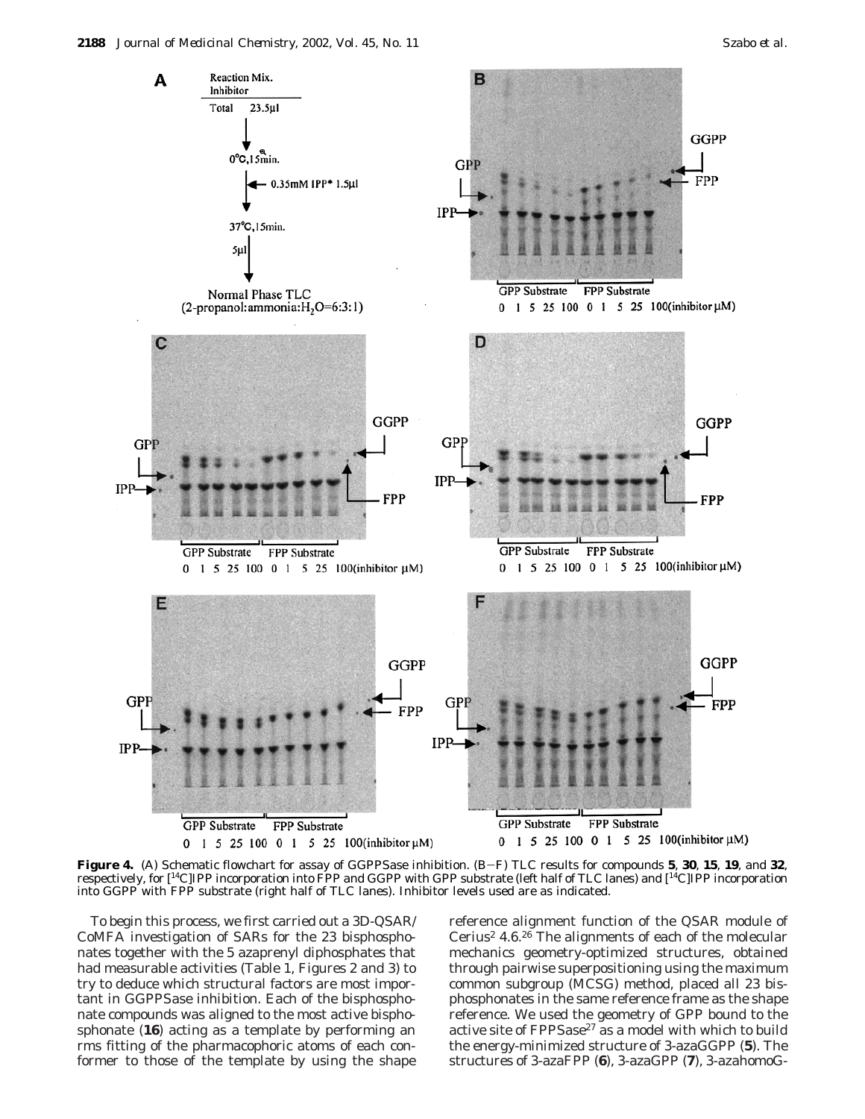

**Figure 4.** (A) Schematic flowchart for assay of GGPPSase inhibition. (B-F) TLC results for compounds **<sup>5</sup>**, **<sup>30</sup>**, **<sup>15</sup>**, **<sup>19</sup>**, and **<sup>32</sup>**, respectively, for [14C]IPP incorporation into FPP and GGPP with GPP substrate (left half of TLC lanes) and [14C]IPP incorporation into GGPP with FPP substrate (right half of TLC lanes). Inhibitor levels used are as indicated.

To begin this process, we first carried out a 3D-QSAR/ CoMFA investigation of SARs for the 23 bisphosphonates together with the 5 azaprenyl diphosphates that had measurable activities (Table 1, Figures 2 and 3) to try to deduce which structural factors are most important in GGPPSase inhibition. Each of the bisphosphonate compounds was aligned to the most active bisphosphonate (**16**) acting as a template by performing an rms fitting of the pharmacophoric atoms of each conformer to those of the template by using the shape

reference alignment function of the QSAR module of Cerius<sup>2</sup> 4.6.<sup>26</sup> The alignments of each of the molecular mechanics geometry-optimized structures, obtained through pairwise superpositioning using the maximum common subgroup (MCSG) method, placed all 23 bisphosphonates in the same reference frame as the shape reference. We used the geometry of GPP bound to the active site of FPPSase $^{27}$  as a model with which to build the energy-minimized structure of 3-azaGGPP (**5**). The structures of 3-azaFPP (**6**), 3-azaGPP (**7**), 3-azahomoG-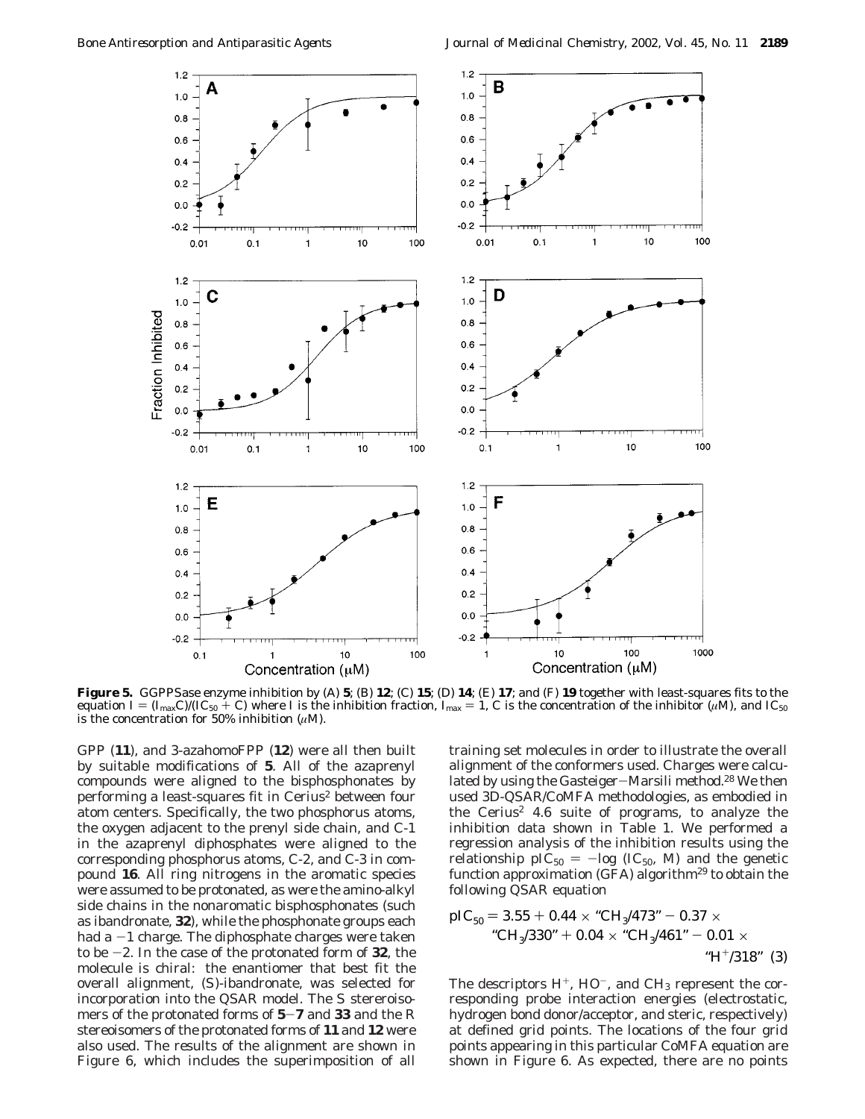

**Figure 5.** GGPPSase enzyme inhibition by (A) **5**; (B) **12**; (C) **15**; (D) **14**; (E) **17**; and (F) **19** together with least-squares fits to the equation  $I = (I_{\text{max}}C)/(\text{IC}_{50} + C)$  where *I* is the inhibition fraction,  $I_{\text{max}} = 1$ , *C* is the concentration of the inhibitor (*µ*M), and IC<sub>50</sub> is the concentration for 50% inhibition (*µ*M).

GPP (**11**), and 3-azahomoFPP (**12**) were all then built by suitable modifications of **5**. All of the azaprenyl compounds were aligned to the bisphosphonates by performing a least-squares fit in Cerius<sup>2</sup> between four atom centers. Specifically, the two phosphorus atoms, the oxygen adjacent to the prenyl side chain, and C-1 in the azaprenyl diphosphates were aligned to the corresponding phosphorus atoms, C-2, and C-3 in compound **16**. All ring nitrogens in the aromatic species were assumed to be protonated, as were the amino-alkyl side chains in the nonaromatic bisphosphonates (such as ibandronate, **32**), while the phosphonate groups each had  $a -1$  charge. The diphosphate charges were taken to be -2. In the case of the protonated form of **<sup>32</sup>**, the molecule is chiral: the enantiomer that best fit the overall alignment, (*S*)-ibandronate, was selected for incorporation into the QSAR model. The *S* stereroisomers of the protonated forms of **<sup>5</sup>**-**<sup>7</sup>** and **<sup>33</sup>** and the *<sup>R</sup>* stereoisomers of the protonated forms of **11** and **12** were also used. The results of the alignment are shown in Figure 6, which includes the superimposition of all

training set molecules in order to illustrate the overall alignment of the conformers used. Charges were calculated by using the Gasteiger-Marsili method.<sup>28</sup> We then used 3D-QSAR/CoMFA methodologies, as embodied in the Cerius<sup>2</sup> 4.6 suite of programs, to analyze the inhibition data shown in Table 1. We performed a regression analysis of the inhibition results using the relationship  $\text{pIC}_{50} = -\text{log} (\text{IC}_{50}, \text{M})$  and the genetic function approximation (GFA) algorithm<sup>29</sup> to obtain the following QSAR equation

pIC50 ) 3.55 <sup>+</sup> 0.44 <sup>×</sup> "CH3/473" - 0.37 <sup>×</sup> "CH3/330" + 0.04 <sup>×</sup> "CH3/461" - 0.01 <sup>×</sup> "H+/318" (3)

The descriptors  $H^+$ ,  $HO^-$ , and  $CH_3$  represent the corresponding probe interaction energies (electrostatic, hydrogen bond donor/acceptor, and steric, respectively) at defined grid points. The locations of the four grid points appearing in this particular CoMFA equation are shown in Figure 6. As expected, there are no points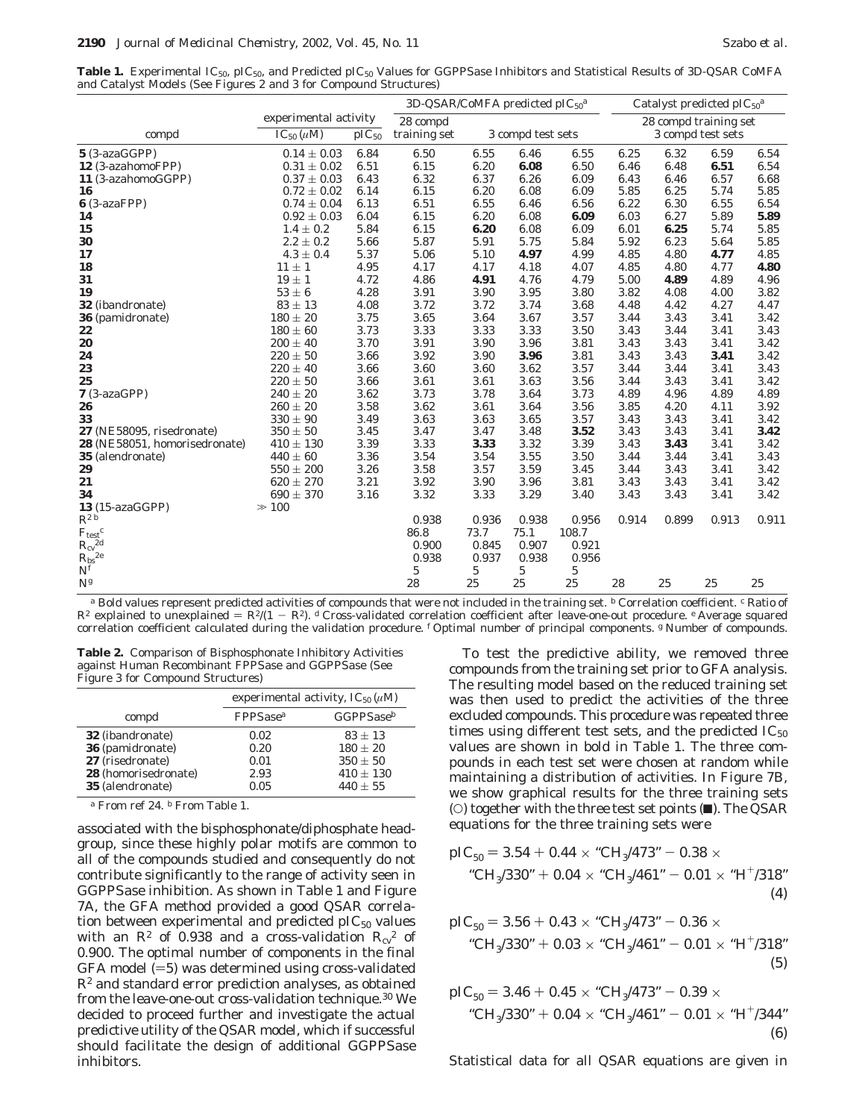Table 1. Experimental IC<sub>50</sub>, pIC<sub>50</sub>, and Predicted pIC<sub>50</sub> Values for GGPPSase Inhibitors and Statistical Results of 3D-QSAR CoMFA and Catalyst Models (See Figures 2 and 3 for Compound Structures)

|                                                                                                  |                       |            | 3D-QSAR/CoMFA predicted $pIC_{50}^a$ |                   |       | Catalyst predicted $pIC_{50}^a$ |                   |       |       |          |
|--------------------------------------------------------------------------------------------------|-----------------------|------------|--------------------------------------|-------------------|-------|---------------------------------|-------------------|-------|-------|----------|
|                                                                                                  | experimental activity |            | 28 compd                             |                   |       | 28 compd training set           |                   |       |       |          |
| compd                                                                                            | $IC_{50}(\mu M)$      | $pIC_{50}$ | training set                         | 3 compd test sets |       |                                 | 3 compd test sets |       |       |          |
| $5(3-azaGGPP)$                                                                                   | $0.14 \pm 0.03$       | 6.84       | 6.50                                 | 6.55              | 6.46  | 6.55                            | 6.25              | 6.32  | 6.59  | 6.54     |
| 12 (3-azahomoFPP)                                                                                | $0.31 \pm 0.02$       | 6.51       | 6.15                                 | 6.20              | 6.08  | 6.50                            | 6.46              | 6.48  | 6.51  | 6.54     |
| 11 (3-azahomoGGPP)                                                                               | $0.37 \pm 0.03$       | 6.43       | 6.32                                 | 6.37              | 6.26  | 6.09                            | 6.43              | 6.46  | 6.57  | 6.68     |
| 16                                                                                               | $0.72 \pm 0.02$       | 6.14       | 6.15                                 | 6.20              | 6.08  | 6.09                            | 5.85              | 6.25  | 5.74  | 5.85     |
| $6$ (3-azaFPP)                                                                                   | $0.74 \pm 0.04$       | 6.13       | 6.51                                 | 6.55              | 6.46  | 6.56                            | 6.22              | 6.30  | 6.55  | 6.54     |
| 14                                                                                               | $0.92 \pm 0.03$       | 6.04       | 6.15                                 | 6.20              | 6.08  | 6.09                            | 6.03              | 6.27  | 5.89  | 5.89     |
| 15                                                                                               | $1.4 \pm 0.2$         | 5.84       | 6.15                                 | 6.20              | 6.08  | 6.09                            | 6.01              | 6.25  | 5.74  | 5.85     |
| 30                                                                                               | $2.2 \pm 0.2$         | 5.66       | 5.87                                 | 5.91              | 5.75  | 5.84                            | 5.92              | 6.23  | 5.64  | 5.85     |
| 17                                                                                               | $4.3\pm0.4$           | 5.37       | 5.06                                 | 5.10              | 4.97  | 4.99                            | 4.85              | 4.80  | 4.77  | 4.85     |
| 18                                                                                               | $11 \pm 1$            | 4.95       | 4.17                                 | 4.17              | 4.18  | 4.07                            | 4.85              | 4.80  | 4.77  | 4.80     |
| 31                                                                                               | $19 \pm 1$            | 4.72       | 4.86                                 | 4.91              | 4.76  | 4.79                            | 5.00              | 4.89  | 4.89  | 4.96     |
| 19                                                                                               | $53 \pm 6$            | 4.28       | 3.91                                 | 3.90              | 3.95  | 3.80                            | 3.82              | 4.08  | 4.00  | 3.82     |
| <b>32</b> (ibandronate)                                                                          | $83 \pm 13$           | 4.08       | 3.72                                 | 3.72              | 3.74  | 3.68                            | 4.48              | 4.42  | 4.27  | 4.47     |
| 36 (pamidronate)                                                                                 | $180 \pm 20$          | 3.75       | 3.65                                 | 3.64              | 3.67  | 3.57                            | 3.44              | 3.43  | 3.41  | 3.42     |
| 22                                                                                               | $180 \pm 60$          | 3.73       | 3.33                                 | 3.33              | 3.33  | 3.50                            | 3.43              | 3.44  | 3.41  | 3.43     |
| 20                                                                                               | $200\pm40$            | 3.70       | 3.91                                 | 3.90              | 3.96  | 3.81                            | 3.43              | 3.43  | 3.41  | 3.42     |
| 24                                                                                               | $220 \pm 50$          | 3.66       | 3.92                                 | 3.90              | 3.96  | 3.81                            | 3.43              | 3.43  | 3.41  | 3.42     |
| 23                                                                                               | $220\pm40$            | 3.66       | 3.60                                 | 3.60              | 3.62  | 3.57                            | 3.44              | 3.44  | 3.41  | 3.43     |
| 25                                                                                               | $220 \pm 50$          | 3.66       | 3.61                                 | 3.61              | 3.63  | 3.56                            | 3.44              | 3.43  | 3.41  | 3.42     |
| $7(3-azaGPP)$                                                                                    | $240 \pm 20$          | 3.62       | 3.73                                 | 3.78              | 3.64  | 3.73                            | 4.89              | 4.96  | 4.89  | 4.89     |
| 26                                                                                               | $260 \pm 20$          | 3.58       | 3.62                                 | 3.61              | 3.64  | 3.56                            | 3.85              | 4.20  | 4.11  | 3.92     |
| 33                                                                                               | $330\pm90$            | 3.49       | 3.63                                 | 3.63              | 3.65  | 3.57                            | 3.43              | 3.43  | 3.41  | 3.42     |
| 27 (NE58095, risedronate)                                                                        | $350 \pm 50$          | 3.45       | 3.47                                 | 3.47              | 3.48  | 3.52                            | 3.43              | 3.43  | 3.41  | 3.42     |
| 28 (NE58051, homorisedronate)                                                                    | $410 \pm 130$         | 3.39       | 3.33                                 | 3.33              | 3.32  | 3.39                            | 3.43              | 3.43  | 3.41  | 3.42     |
| 35 (alendronate)                                                                                 | $440 \pm 60$          | 3.36       | 3.54                                 | 3.54              | 3.55  | 3.50                            | 3.44              | 3.44  | 3.41  | 3.43     |
| 29                                                                                               | $550 \pm 200$         | 3.26       | 3.58                                 | 3.57              | 3.59  | 3.45                            | 3.44              | 3.43  | 3.41  | 3.42     |
| 21                                                                                               | $620 \pm 270$         | 3.21       | 3.92                                 | 3.90              | 3.96  | 3.81                            | 3.43              | 3.43  | 3.41  | $3.42\,$ |
| 34                                                                                               | $690 \pm 370$         | 3.16       | 3.32                                 | 3.33              | 3.29  | 3.40                            | 3.43              | 3.43  | 3.41  | 3.42     |
| 13 (15-azaGGPP)                                                                                  | $\gg 100$             |            |                                      |                   |       |                                 |                   |       |       |          |
| $R^{2b}$                                                                                         |                       |            | 0.938                                | 0.936             | 0.938 | 0.956                           | 0.914             | 0.899 | 0.913 | 0.911    |
|                                                                                                  |                       |            | 86.8                                 | 73.7              | 75.1  | 108.7                           |                   |       |       |          |
|                                                                                                  |                       |            | 0.900                                | 0.845             | 0.907 | 0.921                           |                   |       |       |          |
| $\begin{array}{l} F_\text{test}{}^c\\ R_\text{cv}{}^{2d}\\ R_\text{bs}{}^{2e}\\ N^f \end{array}$ |                       |            | 0.938                                | 0.937             | 0.938 | 0.956                           |                   |       |       |          |
|                                                                                                  |                       |            | 5                                    | 5                 | 5     | 5                               |                   |       |       |          |
| $N^g$                                                                                            |                       |            | 28                                   | 25                | 25    | 25                              | 28                | 25    | 25    | 25       |

*<sup>a</sup>* Bold values represent predicted activities of compounds that were not included in the training set. *<sup>b</sup>* Correlation coefficient. *<sup>c</sup>* Ratio of  $R^2$  explained to unexplained =  $R^2/(1 - R^2)$ . *d* Cross-validated correlation coefficient after leave-one-out procedure. *e* Average squared correlation coefficient calculated during the validation procedure. *<sup>f</sup>* Optimal number of principal components. *<sup>g</sup>* Number of compounds.

**Table 2.** Comparison of Bisphosphonate Inhibitory Activities against Human Recombinant FPPSase and GGPPSase (See Figure 3 for Compound Structures)

|                         |                      | experimental activity, $IC_{50}(\mu M)$ |
|-------------------------|----------------------|-----------------------------------------|
| compd                   | FPPSase <sup>a</sup> | GGPPSase <sup>b</sup>                   |
| <b>32</b> (ibandronate) | 0.02                 | $83 \pm 13$                             |
| 36 (pamidronate)        | 0.20                 | $180 + 20$                              |
| 27 (risedronate)        | 0.01                 | $350 \pm 50$                            |
| 28 (homorisedronate)    | 2.93                 | $410 \pm 130$                           |
| 35 (alendronate)        | 0.05                 | $440 \pm 55$                            |
|                         |                      |                                         |

*<sup>a</sup>* From ref 24. *<sup>b</sup>* From Table 1.

associated with the bisphosphonate/diphosphate headgroup, since these highly polar motifs are common to all of the compounds studied and consequently do not contribute significantly to the range of activity seen in GGPPSase inhibition. As shown in Table 1 and Figure 7A, the GFA method provided a good QSAR correlation between experimental and predicted  $pIC_{50}$  values with an  $R^2$  of 0.938 and a cross-validation  $R_{cv}^2$  of 0.900. The optimal number of components in the final  $GFA$  model  $(=5)$  was determined using cross-validated *R*<sup>2</sup> and standard error prediction analyses, as obtained from the leave-one-out cross-validation technique.30 We decided to proceed further and investigate the actual predictive utility of the QSAR model, which if successful should facilitate the design of additional GGPPSase inhibitors.

To test the predictive ability, we removed three compounds from the training set prior to GFA analysis. The resulting model based on the reduced training set was then used to predict the activities of the three excluded compounds. This procedure was repeated three times using different test sets, and the predicted  $IC_{50}$ values are shown in bold in Table 1. The three compounds in each test set were chosen at random while maintaining a distribution of activities. In Figure 7B, we show graphical results for the three training sets ( $\circ$ ) together with the three test set points ( $\Box$ ). The QSAR equations for the three training sets were

$$
pIC_{50} = 3.54 + 0.44 \times "CH3/473" - 0.38 \times
$$
  
"CH<sub>3</sub>/330" + 0.04 \times "CH<sub>3</sub>/461" - 0.01 \times "H<sup>+</sup>/318"  
(4)

$$
pIC_{50} = 3.56 + 0.43 \times "CH3/473" - 0.36 \times
$$
  
"CH<sub>3</sub>/330" + 0.03 \times "CH<sub>3</sub>/461" - 0.01 \times "H<sup>+</sup>/318" (5)

$$
pIC_{50} = 3.46 + 0.45 \times "CH3/473" - 0.39 \times
$$
  
\n"CH<sub>3</sub>/330" + 0.04 \times "CH<sub>3</sub>/461" - 0.01 \times "H<sup>+</sup>/344" (6)

Statistical data for all QSAR equations are given in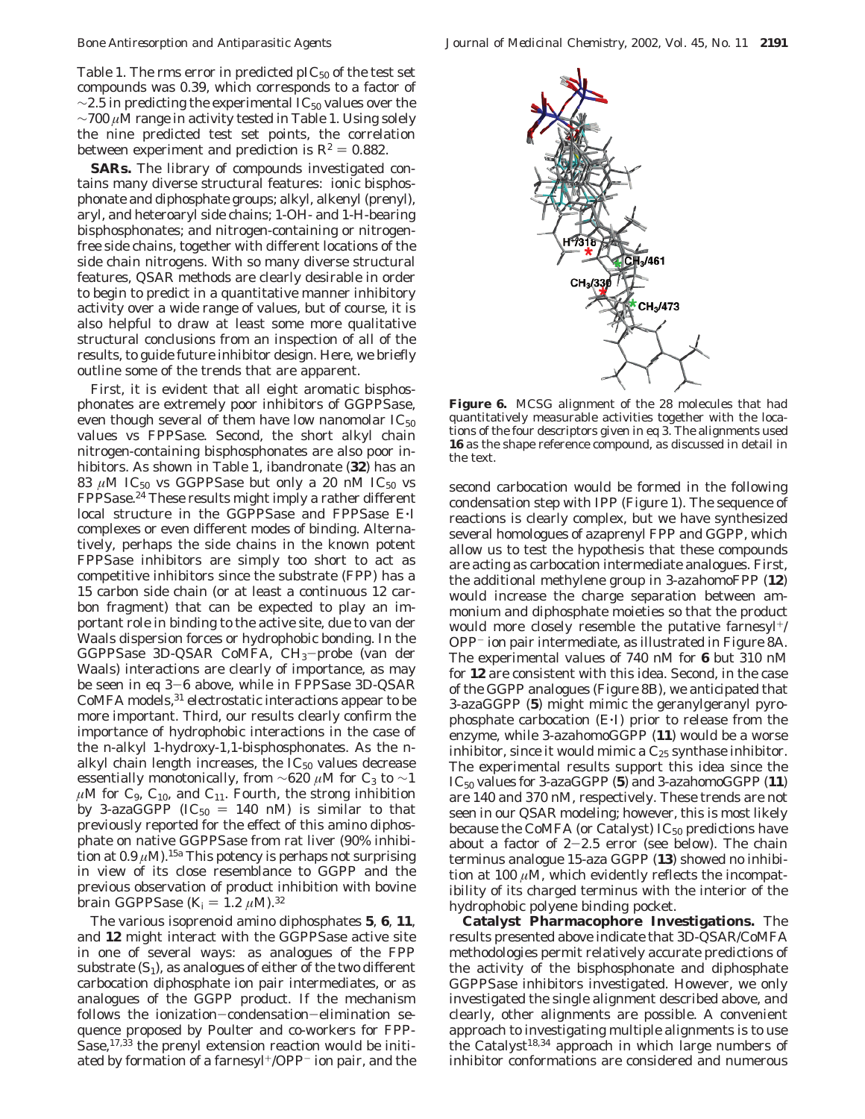Table 1. The rms error in predicted  $pIC_{50}$  of the test set compounds was 0.39, which corresponds to a factor of  $\sim$ 2.5 in predicting the experimental IC<sub>50</sub> values over the ∼700 *µ*M range in activity tested in Table 1. Using solely the nine predicted test set points, the correlation between experiment and prediction is  $R^2 = 0.882$ .

**SARs.** The library of compounds investigated contains many diverse structural features: ionic bisphosphonate and diphosphate groups; alkyl, alkenyl (prenyl), aryl, and heteroaryl side chains; 1-OH- and 1-H-bearing bisphosphonates; and nitrogen-containing or nitrogenfree side chains, together with different locations of the side chain nitrogens. With so many diverse structural features, QSAR methods are clearly desirable in order to begin to predict in a quantitative manner inhibitory activity over a wide range of values, but of course, it is also helpful to draw at least some more qualitative structural conclusions from an inspection of all of the results, to guide future inhibitor design. Here, we briefly outline some of the trends that are apparent.

First, it is evident that all eight aromatic bisphosphonates are extremely poor inhibitors of GGPPSase, even though several of them have low nanomolar  $IC_{50}$ values vs FPPSase. Second, the short alkyl chain nitrogen-containing bisphosphonates are also poor inhibitors. As shown in Table 1, ibandronate (**32**) has an 83  $\mu$ M IC<sub>50</sub> vs GGPPSase but only a 20 nM IC<sub>50</sub> vs FPPSase.24 These results might imply a rather different local structure in the GGPPSase and FPPSase E'<sup>I</sup> complexes or even different modes of binding. Alternatively, perhaps the side chains in the known potent FPPSase inhibitors are simply too short to act as competitive inhibitors since the substrate (FPP) has a 15 carbon side chain (or at least a continuous 12 carbon fragment) that can be expected to play an important role in binding to the active site, due to van der Waals dispersion forces or hydrophobic bonding. In the GGPPSase 3D-QSAR CoMFA,  $CH<sub>3</sub>-probe$  (van der Waals) interactions are clearly of importance, as may be seen in eq 3-6 above, while in FPPSase 3D-QSAR CoMFA models,<sup>31</sup> electrostatic interactions appear to be more important. Third, our results clearly confirm the importance of hydrophobic interactions in the case of the *n*-alkyl 1-hydroxy-1,1-bisphosphonates. As the *n*alkyl chain length increases, the  $IC_{50}$  values decrease essentially monotonically, from  $\sim$ 620 µM for C<sub>3</sub> to  $\sim$ 1  $\mu$ M for C<sub>9</sub>, C<sub>10</sub>, and C<sub>11</sub>. Fourth, the strong inhibition by 3-azaGGPP ( $IC_{50} = 140$  nM) is similar to that previously reported for the effect of this amino diphosphate on native GGPPSase from rat liver (90% inhibition at  $0.9 \mu M$ ).<sup>15a</sup> This potency is perhaps not surprising in view of its close resemblance to GGPP and the previous observation of product inhibition with bovine brain GGPPSase  $(K_i = 1.2 \mu M).$ <sup>32</sup>

The various isoprenoid amino diphosphates **5**, **6**, **11**, and **12** might interact with the GGPPSase active site in one of several ways: as analogues of the FPP substrate  $(S_1)$ , as analogues of either of the two different carbocation diphosphate ion pair intermediates, or as analogues of the GGPP product. If the mechanism follows the ionization-condensation-elimination sequence proposed by Poulter and co-workers for FPP-Sase,<sup>17,33</sup> the prenyl extension reaction would be initiated by formation of a farnesyl<sup>+</sup>/OPP<sup>-</sup> ion pair, and the



**Figure 6.** MCSG alignment of the 28 molecules that had quantitatively measurable activities together with the locations of the four descriptors given in eq 3. The alignments used **16** as the shape reference compound, as discussed in detail in the text.

second carbocation would be formed in the following condensation step with IPP (Figure 1). The sequence of reactions is clearly complex, but we have synthesized several homologues of azaprenyl FPP and GGPP, which allow us to test the hypothesis that these compounds are acting as carbocation intermediate analogues. First, the additional methylene group in 3-azahomoFPP (**12**) would increase the charge separation between ammonium and diphosphate moieties so that the product would more closely resemble the putative farnesyl<sup>+/</sup> OPP- ion pair intermediate, as illustrated in Figure 8A. The experimental values of 740 nM for **6** but 310 nM for **12** are consistent with this idea. Second, in the case of the GGPP analogues (Figure 8B), we anticipated that 3-azaGGPP (**5**) might mimic the geranylgeranyl pyrophosphate carbocation (E'I) prior to release from the enzyme, while 3-azahomoGGPP (**11**) would be a worse inhibitor, since it would mimic a  $C_{25}$  synthase inhibitor. The experimental results support this idea since the IC50 values for 3-azaGGPP (**5**) and 3-azahomoGGPP (**11**) are 140 and 370 nM, respectively. These trends are not seen in our QSAR modeling; however, this is most likely because the CoMFA (or Catalyst)  $IC_{50}$  predictions have about a factor of  $2-2.5$  error (see below). The chain terminus analogue 15-aza GGPP (**13**) showed no inhibition at 100  $\mu$ M, which evidently reflects the incompatibility of its charged terminus with the interior of the hydrophobic polyene binding pocket.

**Catalyst Pharmacophore Investigations.** The results presented above indicate that 3D-QSAR/CoMFA methodologies permit relatively accurate predictions of the activity of the bisphosphonate and diphosphate GGPPSase inhibitors investigated. However, we only investigated the single alignment described above, and clearly, other alignments are possible. A convenient approach to investigating multiple alignments is to use the Catalyst<sup>18,34</sup> approach in which large numbers of inhibitor conformations are considered and numerous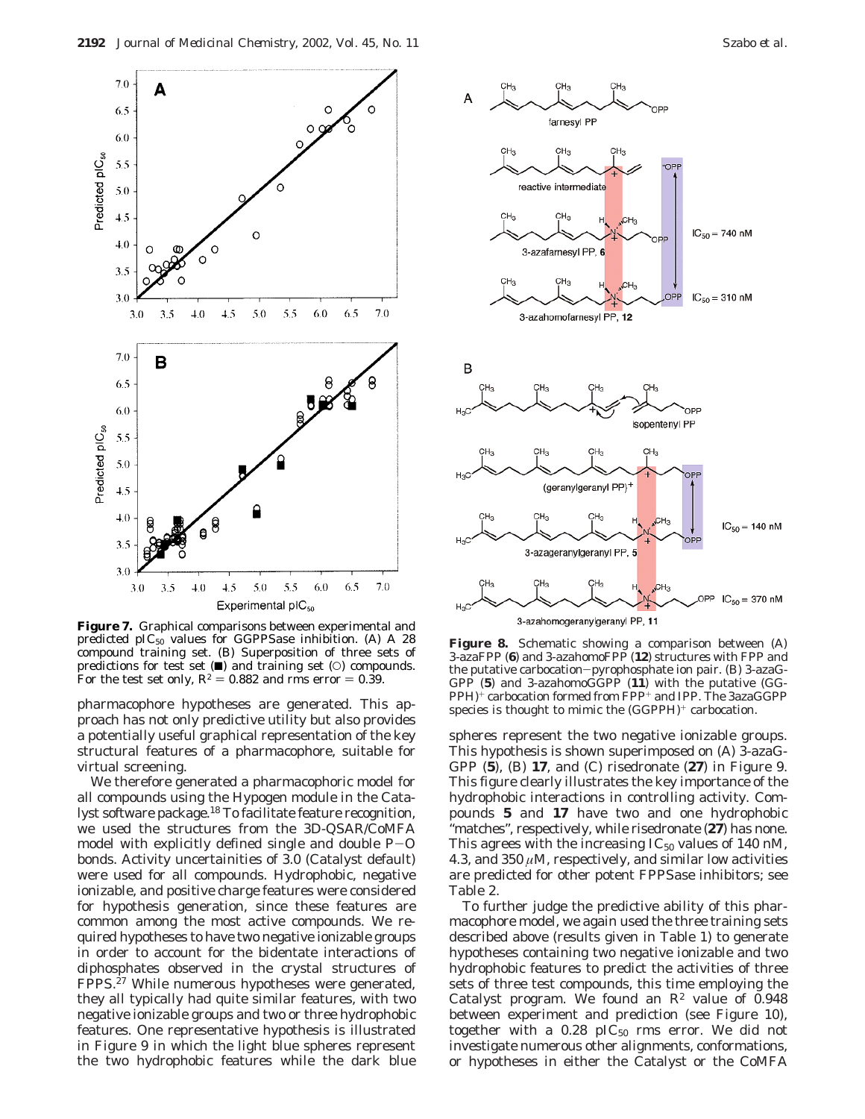

**Figure 7.** Graphical comparisons between experimental and predicted  $pIC_{50}$  values for GGPPSase inhibition. (A) A 28 compound training set. (B) Superposition of three sets of predictions for test set  $(\blacksquare)$  and training set  $(\bigcirc)$  compounds. For the test set only,  $R^2 = 0.882$  and rms error  $= 0.39$ .

pharmacophore hypotheses are generated. This approach has not only predictive utility but also provides a potentially useful graphical representation of the key structural features of a pharmacophore, suitable for virtual screening.

We therefore generated a pharmacophoric model for all compounds using the Hypogen module in the Catalyst software package.<sup>18</sup> To facilitate feature recognition, we used the structures from the 3D-QSAR/CoMFA model with explicitly defined single and double  $P-O$ bonds. Activity uncertainities of 3.0 (Catalyst default) were used for all compounds. Hydrophobic, negative ionizable, and positive charge features were considered for hypothesis generation, since these features are common among the most active compounds. We required hypotheses to have two negative ionizable groups in order to account for the bidentate interactions of diphosphates observed in the crystal structures of FPPS.27 While numerous hypotheses were generated, they all typically had quite similar features, with two negative ionizable groups and two or three hydrophobic features. One representative hypothesis is illustrated in Figure 9 in which the light blue spheres represent the two hydrophobic features while the dark blue



**Figure 8.** Schematic showing a comparison between (A) 3-azaFPP (**6**) and 3-azahomoFPP (**12**) structures with FPP and the putative carbocation-pyrophosphate ion pair. (B) 3-azaG-GPP (**5**) and 3-azahomoGGPP (**11**) with the putative (GG-PPH)<sup>+</sup> carbocation formed from FPP<sup>+</sup> and IPP. The 3azaGGPP species is thought to mimic the  $(GGPPH)^+$  carbocation.

spheres represent the two negative ionizable groups. This hypothesis is shown superimposed on (A) 3-azaG-GPP (**5**), (B) **17**, and (C) risedronate (**27**) in Figure 9. This figure clearly illustrates the key importance of the hydrophobic interactions in controlling activity. Compounds **5** and **17** have two and one hydrophobic "matches", respectively, while risedronate (**27**) has none. This agrees with the increasing  $IC_{50}$  values of 140 nM, 4.3, and  $350 \mu$ M, respectively, and similar low activities are predicted for other potent FPPSase inhibitors; see Table 2.

To further judge the predictive ability of this pharmacophore model, we again used the three training sets described above (results given in Table 1) to generate hypotheses containing two negative ionizable and two hydrophobic features to predict the activities of three sets of three test compounds, this time employing the Catalyst program. We found an  $R^2$  value of 0.948 between experiment and prediction (see Figure 10), together with a  $0.28$  pIC<sub>50</sub> rms error. We did not investigate numerous other alignments, conformations, or hypotheses in either the Catalyst or the CoMFA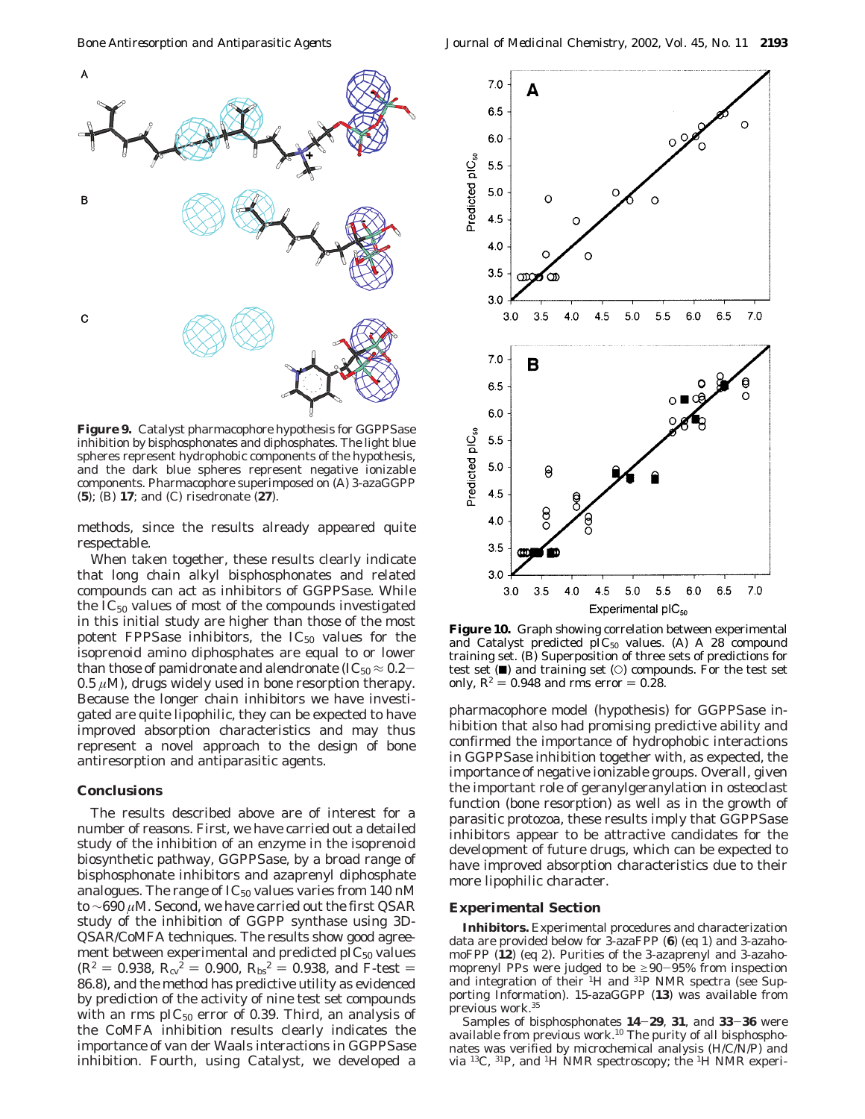

**Figure 9.** Catalyst pharmacophore hypothesis for GGPPSase inhibition by bisphosphonates and diphosphates. The light blue spheres represent hydrophobic components of the hypothesis, and the dark blue spheres represent negative ionizable components. Pharmacophore superimposed on (A) 3-azaGGPP (**5**); (B) **17**; and (C) risedronate (**27**).

methods, since the results already appeared quite respectable.

When taken together, these results clearly indicate that long chain alkyl bisphosphonates and related compounds can act as inhibitors of GGPPSase. While the  $IC_{50}$  values of most of the compounds investigated in this initial study are higher than those of the most potent FPPSase inhibitors, the  $IC_{50}$  values for the isoprenoid amino diphosphates are equal to or lower than those of pamidronate and alendronate (IC $_{50}$   $\approx$  0.2–  $0.5 \ \mu$ M), drugs widely used in bone resorption therapy. Because the longer chain inhibitors we have investigated are quite lipophilic, they can be expected to have improved absorption characteristics and may thus represent a novel approach to the design of bone antiresorption and antiparasitic agents.

#### **Conclusions**

The results described above are of interest for a number of reasons. First, we have carried out a detailed study of the inhibition of an enzyme in the isoprenoid biosynthetic pathway, GGPPSase, by a broad range of bisphosphonate inhibitors and azaprenyl diphosphate analogues. The range of  $IC_{50}$  values varies from 140 nM to ∼690 *µ*M. Second, we have carried out the first QSAR study of the inhibition of GGPP synthase using 3D-QSAR/CoMFA techniques. The results show good agreement between experimental and predicted  $\text{pIC}_{50}$  values  $(R^2 = 0.938, R_{cv}^2 = 0.900, R_{bs}^2 = 0.938, \text{ and } F\text{-test} =$ 86.8), and the method has predictive utility as evidenced by prediction of the activity of nine test set compounds with an rms  $\text{pIC}_{50}$  error of 0.39. Third, an analysis of the CoMFA inhibition results clearly indicates the importance of van der Waals interactions in GGPPSase inhibition. Fourth, using Catalyst, we developed a



**Figure 10.** Graph showing correlation between experimental and Catalyst predicted  $\text{pIC}_{50}$  values. (A) A 28 compound training set. (B) Superposition of three sets of predictions for test set  $(\blacksquare)$  and training set  $(\bigcirc)$  compounds. For the test set only,  $R^2 = 0.948$  and rms error  $= 0.28$ .

pharmacophore model (hypothesis) for GGPPSase inhibition that also had promising predictive ability and confirmed the importance of hydrophobic interactions in GGPPSase inhibition together with, as expected, the importance of negative ionizable groups. Overall, given the important role of geranylgeranylation in osteoclast function (bone resorption) as well as in the growth of parasitic protozoa, these results imply that GGPPSase inhibitors appear to be attractive candidates for the development of future drugs, which can be expected to have improved absorption characteristics due to their more lipophilic character.

### **Experimental Section**

**Inhibitors.** Experimental procedures and characterization data are provided below for 3-azaFPP (**6**) (eq 1) and 3-azahomoFPP (**12**) (eq 2). Purities of the 3-azaprenyl and 3-azahomoprenyl PPs were judged to be  $\geq 90-95\%$  from inspection and integration of their <sup>1</sup>H and <sup>31</sup>P NMR spectra (see Supporting Information). 15-azaGGPP (**13**) was available from previous work.35

Samples of bisphosphonates **<sup>14</sup>**-**29**, **<sup>31</sup>**, and **<sup>33</sup>**-**<sup>36</sup>** were available from previous work.10 The purity of all bisphosphonates was verified by microchemical analysis (H/C/N/P) and via 13C, 31P, and 1H NMR spectroscopy; the 1H NMR experi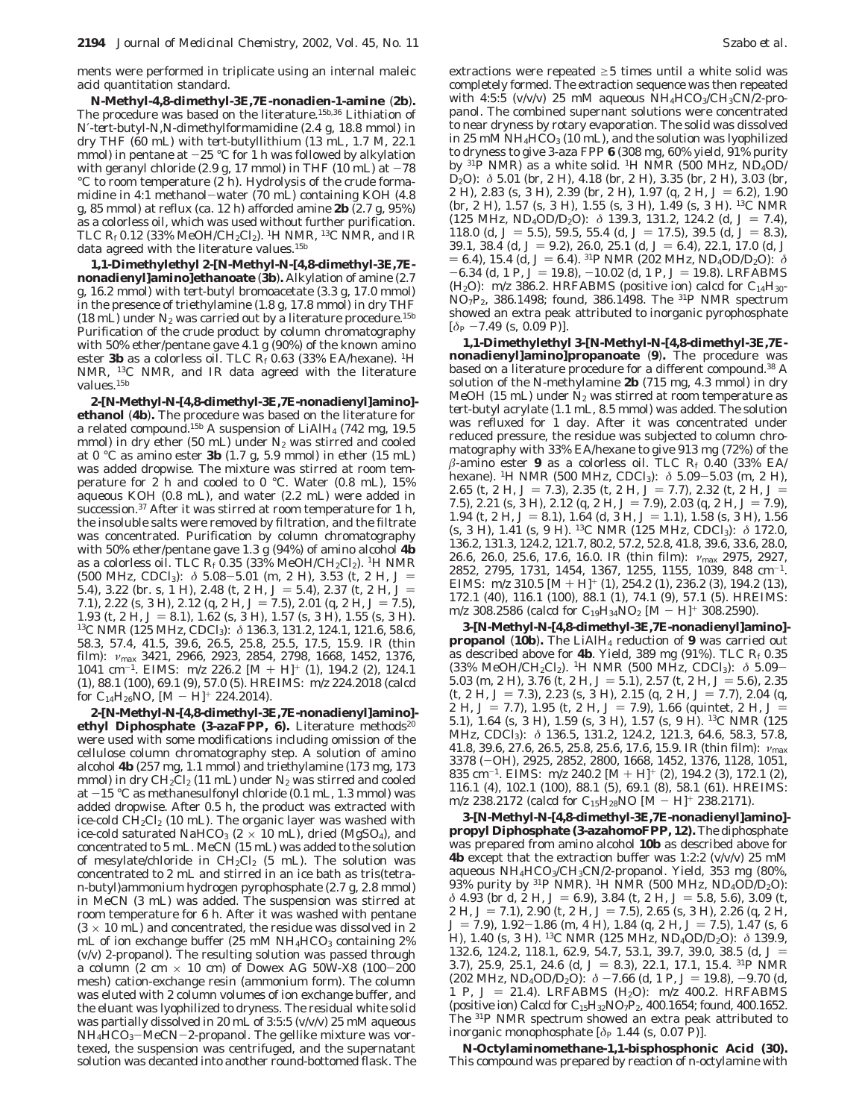ments were performed in triplicate using an internal maleic acid quantitation standard.

*N***-Methyl-4,8-dimethyl-3***E***,7***E***-nonadien-1-amine** (**2b**)**.** The procedure was based on the literature.<sup>15b,36</sup> Lithiation of *N*′-*tert*-butyl-*N*,*N*-dimethylformamidine (2.4 g, 18.8 mmol) in dry THF (60 mL) with *tert*-butyllithium (13 mL, 1.7 M, 22.1 mmol) in pentane at  $-25$  °C for 1 h was followed by alkylation with geranyl chloride (2.9 g, 17 mmol) in THF (10 mL) at  $-78$ °C to room temperature (2 h). Hydrolysis of the crude formamidine in 4:1 methanol-water (70 mL) containing KOH (4.8 g, 85 mmol) at reflux (ca. 12 h) afforded amine **2b** (2.7 g, 95%) as a colorless oil, which was used without further purification. TLC  $R_f$  0.12 (33% MeOH/CH<sub>2</sub>Cl<sub>2</sub>). <sup>1</sup>H NMR, <sup>13</sup>C NMR, and IR data agreed with the literature values.<sup>15b</sup>

**1,1-Dimethylethyl 2-[***N***-Methyl-***N***-[4,8-dimethyl-3***E***,7***E***nonadienyl]amino]ethanoate** (**3b**)**.** Alkylation of amine (2.7 g, 16.2 mmol) with *tert*-butyl bromoacetate (3.3 g, 17.0 mmol) in the presence of triethylamine (1.8 g, 17.8 mmol) in dry THF (18 mL) under  $N_2$  was carried out by a literature procedure.<sup>15b</sup> Purification of the crude product by column chromatography with 50% ether/pentane gave 4.1 g (90%) of the known amino ester **3b** as a colorless oil. TLC *Rf* 0.63 (33% EA/hexane). 1H NMR, 13C NMR, and IR data agreed with the literature values.<sup>15b</sup>

**2-[***N***-Methyl-***N***-[4,8-dimethyl-3***E***,7***E***-nonadienyl]amino] ethanol** (**4b**)**.** The procedure was based on the literature for a related compound.15b A suspension of LiAlH4 (742 mg, 19.5 mmol) in dry ether (50 mL) under  $N_2$  was stirred and cooled at 0 °C as amino ester **3b** (1.7 g, 5.9 mmol) in ether (15 mL) was added dropwise. The mixture was stirred at room temperature for 2 h and cooled to 0 °C. Water (0.8 mL), 15% aqueous KOH (0.8 mL), and water (2.2 mL) were added in succession.<sup>37</sup> After it was stirred at room temperature for 1 h, the insoluble salts were removed by filtration, and the filtrate was concentrated. Purification by column chromatography with 50% ether/pentane gave 1.3 g (94%) of amino alcohol **4b** as a colorless oil. TLC  $R_f$  0.35 (33% MeOH/CH<sub>2</sub>Cl<sub>2</sub>). <sup>1</sup>H NMR (500 MHz, CDCl<sub>3</sub>):  $\delta$  5.08-5.01 (m, 2 H), 3.53 (t, 2 H,  $J = 54$ ) 3.22 (br s 1 H) 2.48 (t 2 H  $I = 54$ ) 2.37 (t 2 H  $I =$ 5.4), 3.22 (br. s, 1 H), 2.48 (t, 2 H,  $J = 5.4$ ), 2.37 (t, 2 H,  $J = 71$ ), 2.22 (s, 3 H), 2.12 (g, 2 H,  $J = 75$ ), 2.01 (g, 2 H,  $J = 75$ ) 7.1), 2.22 (s, 3 H), 2.12 (q, 2 H,  $J = 7.5$ ), 2.01 (q, 2 H,  $J = 7.5$ ), 1.93 (t, 2 H, *J* = 8.1), 1.62 (s, 3 H), 1.57 (s, 3 H), 1.55 (s, 3 H).<br><sup>13</sup>C NMR (125 MHz, CDCl<sub>3</sub>):  $\delta$  136.3, 131.2, 124.1, 121.6, 58.6, 58.3, 57.4, 41.5, 39.6, 26.5, 25.8, 25.5, 17.5, 15.9. IR (thin film): *ν*max 3421, 2966, 2923, 2854, 2798, 1668, 1452, 1376, 1041 cm-1. EIMS: *<sup>m</sup>*/*<sup>z</sup>* 226.2 [M + H]<sup>+</sup> (1), 194.2 (2), 124.1 (1), 88.1 (100), 69.1 (9), 57.0 (5). HREIMS: *m*/*z* 224.2018 (calcd for C<sub>14</sub>H<sub>26</sub>NO,  $[M - H]$ <sup>+</sup> 224.2014).

**2-[***N***-Methyl-***N***-[4,8-dimethyl-3***E***,7***E***-nonadienyl]amino]** ethyl Diphosphate (3-azaFPP, 6). Literature methods<sup>20</sup> were used with some modifications including omission of the cellulose column chromatography step. A solution of amino alcohol **4b** (257 mg, 1.1 mmol) and triethylamine (173 mg, 173 mmol) in dry  $CH_2Cl_2$  (11 mL) under  $N_2$  was stirred and cooled at -15 °C as methanesulfonyl chloride (0.1 mL, 1.3 mmol) was added dropwise. After 0.5 h, the product was extracted with ice-cold  $CH_2Cl_2$  (10 mL). The organic layer was washed with ice-cold saturated NaHCO<sub>3</sub> ( $2 \times 10$  mL), dried (MgSO<sub>4</sub>), and concentrated to 5 mL. MeCN (15 mL) was added to the solution of mesylate/chloride in  $CH_2Cl_2$  (5 mL). The solution was concentrated to 2 mL and stirred in an ice bath as tris(tetra*n*-butyl)ammonium hydrogen pyrophosphate (2.7 g, 2.8 mmol) in MeCN (3 mL) was added. The suspension was stirred at room temperature for 6 h. After it was washed with pentane  $(3 \times 10 \text{ mL})$  and concentrated, the residue was dissolved in 2 mL of ion exchange buffer  $(25 \text{ mM } NH_4HCO_3$  containing  $2\%$ (v/v) 2-propanol). The resulting solution was passed through a column (2 cm  $\times$  10 cm) of Dowex AG 50W-X8 (100-200 mesh) cation-exchange resin (ammonium form). The column was eluted with 2 column volumes of ion exchange buffer, and the eluant was lyophilized to dryness. The residual white solid was partially dissolved in 20 mL of 3:5:5 (v/v/v) 25 mM aqueous  $NH<sub>4</sub>HCO<sub>3</sub>–MeCN-2-propanol.$  The gellike mixture was vortexed, the suspension was centrifuged, and the supernatant solution was decanted into another round-bottomed flask. The

extractions were repeated  $\geq$ 5 times until a white solid was completely formed. The extraction sequence was then repeated with 4:5:5 (v/v/v) 25 mM aqueous  $NH_4HCO_3/CH_3CN/2-pro$ panol. The combined supernant solutions were concentrated to near dryness by rotary evaporation. The solid was dissolved in 25 mM NH<sub>4</sub>HCO<sub>3</sub> (10 mL), and the solution was lyophilized to dryness to give 3-aza FPP **6** (308 mg, 60% yield, 91% purity by <sup>31</sup>P NMR) as a white solid. <sup>1</sup>H NMR (500 MHz, ND<sub>4</sub>OD/ D2O): *δ* 5.01 (br, 2 H), 4.18 (br, 2 H), 3.35 (br, 2 H), 3.03 (br, 2 H), 2.83 (s, 3 H), 2.39 (br, 2 H), 1.97 (q, 2 H,  $J = 6.2$ ), 1.90 (br, 2 H), 1.57 (s, 3 H), 1.55 (s, 3 H), 1.49 (s, 3 H). 13C NMR (125 MHz, ND<sub>4</sub>OD/D<sub>2</sub>O):  $\delta$  139.3, 131.2, 124.2 (d,  $J = 7.4$ ),<br>118.0 (d,  $J = 5.5$ ), 59.5, 55.4 (d,  $J = 17.5$ ), 39.5 (d,  $J = 8.3$ ) 118.0 (d,  $J = 5.5$ ), 59.5, 55.4 (d,  $J = 17.5$ ), 39.5 (d,  $J = 8.3$ ), 39.1, 38.4 (d,  $J = 9.2$ ), 26.0, 25.1 (d,  $J = 6.4$ ), 22.1, 17.0 (d,  $J$ 39.1, 38.4 (d,  $J = 9.2$ ), 26.0, 25.1 (d,  $J = 6.4$ ), 22.1, 17.0 (d, J  $= 6.4$ ), 15.4 (d,  $J = 6.4$ ). <sup>31</sup>P NMR (202 MHz, ND<sub>4</sub>OD/D<sub>2</sub>O):  $\delta$  $-6.34$  (d, 1 P,  $J = 19.8$ ),  $-10.02$  (d, 1 P,  $J = 19.8$ ). LRFABMS  $(H<sub>2</sub>O)$ :  $m/z$  386.2. HRFABMS (positive ion) calcd for  $C<sub>14</sub>H<sub>30</sub>$ -NO7P2, 386.1498; found, 386.1498. The 31P NMR spectrum showed an extra peak attributed to inorganic pyrophosphate  $[\delta_P -7.49$  (s, 0.09 P)].

**1,1-Dimethylethyl 3-[***N***-Methyl-***N***-[4,8-dimethyl-3***E***,7***E***nonadienyl]amino]propanoate** (**9**)**.** The procedure was based on a literature procedure for a different compound.38 A solution of the *N*-methylamine **2b** (715 mg, 4.3 mmol) in dry MeOH (15 mL) under  $N_2$  was stirred at room temperature as *tert*-butyl acrylate (1.1 mL, 8.5 mmol) was added. The solution was refluxed for 1 day. After it was concentrated under reduced pressure, the residue was subjected to column chromatography with 33% EA/hexane to give 913 mg (72%) of the *â*-amino ester **9** as a colorless oil. TLC *Rf* 0.40 (33% EA/ hexane). 1H NMR (500 MHz, CDCl3): *<sup>δ</sup>* 5.09-5.03 (m, 2 H), 2.65 (t, 2 H,  $J = 7.3$ ), 2.35 (t, 2 H,  $J = 7.7$ ), 2.32 (t, 2 H,  $J =$ 7.5), 2.21 (s, 3 H), 2.12 (q, 2 H,  $J = 7.9$ ), 2.03 (q, 2 H,  $J = 7.9$ ), 1.94 (t, 2 H,  $J = 8.1$ ), 1.64 (d, 3 H,  $J = 1.1$ ), 1.58 (s, 3 H), 1.56 (s, 3 H), 1.41 (s, 9 H). 13C NMR (125 MHz, CDCl3): *δ* 172.0, 136.2, 131.3, 124.2, 121.7, 80.2, 57.2, 52.8, 41.8, 39.6, 33.6, 28.0, 26.6, 26.0, 25.6, 17.6, 16.0. IR (thin film): *ν*max 2975, 2927, 2852, 2795, 1731, 1454, 1367, 1255, 1155, 1039, 848 cm-1. EIMS:  $m/z 310.5$  [M + H]<sup>+</sup> (1), 254.2 (1), 236.2 (3), 194.2 (13), 172.1 (40), 116.1 (100), 88.1 (1), 74.1 (9), 57.1 (5). HREIMS:  $m/z$  308.2586 (calcd for  $C_{19}H_{34}NO_2$  [M - H]<sup>+</sup> 308.2590).

**3-[***N***-Methyl-***N***-[4,8-dimethyl-3***E***,7***E***-nonadienyl]amino] propanol** (**10b**)**.** The LiAlH4 reduction of **9** was carried out as described above for **4b**. Yield, 389 mg (91%). TLC *Rf* 0.35 (33% MeOH/CH2Cl2). 1H NMR (500 MHz, CDCl3): *<sup>δ</sup>* 5.09- 5.03 (m, 2 H), 3.76 (t, 2 H,  $J = 5.1$ ), 2.57 (t, 2 H,  $J = 5.6$ ), 2.35  $(t, 2 H, J = 7.3), 2.23 (s, 3 H), 2.15 (q, 2 H, J = 7.7), 2.04 (q,$ 2 H,  $J = 7.7$ , 1.95 (t, 2 H,  $J = 7.9$ ), 1.66 (quintet, 2 H,  $J =$ 5.1), 1.64 (s, 3 H), 1.59 (s, 3 H), 1.57 (s, 9 H). 13C NMR (125 MHz, CDCl<sub>3</sub>): δ 136.5, 131.2, 124.2, 121.3, 64.6, 58.3, 57.8, 41.8, 39.6, 27.6, 26.5, 25.8, 25.6, 17.6, 15.9. IR (thin film): *ν*max 3378 (-OH), 2925, 2852, 2800, 1668, 1452, 1376, 1128, 1051, 835 cm-1. EIMS: *<sup>m</sup>*/*<sup>z</sup>* 240.2 [M + H]<sup>+</sup> (2), 194.2 (3), 172.1 (2), 116.1 (4), 102.1 (100), 88.1 (5), 69.1 (8), 58.1 (61). HREIMS: *<sup>m</sup>*/*<sup>z</sup>* 238.2172 (calcd for C15H28NO [M - H]<sup>+</sup> 238.2171).

**3-[***N***-Methyl-***N***-[4,8-dimethyl-3***E***,7***E***-nonadienyl]amino] propyl Diphosphate (3-azahomoFPP, 12).** The diphosphate was prepared from amino alcohol **10b** as described above for **4b** except that the extraction buffer was 1:2:2 (v/v/v) 25 mM aqueous  $NH_4HCO_3/CH_3CN/2$ -propanol. Yield, 353 mg (80%, 93% purity by <sup>31</sup>P NMR). <sup>1</sup>H NMR (500 MHz, ND<sub>4</sub>OD/D<sub>2</sub>O): *δ* 4.93 (br d, 2 H,  $J = 6.9$ ), 3.84 (t, 2 H,  $J = 5.8$ , 5.6), 3.09 (t, 2 H,  $J = 7.1$ ), 2.90 (t, 2 H,  $J = 7.5$ ), 2.65 (s, 3 H), 2.26 (q, 2 H,  $J = 7.9$ , 1.92-1.86 (m, 4 H), 1.84 (q, 2 H,  $J = 7.5$ ), 1.47 (s, 6 H), 1.40 (s, 3 H). 13C NMR (125 MHz, ND4OD/D2O): *δ* 139.9, 132.6, 124.2, 118.1, 62.9, 54.7, 53.1, 39.7, 39.0, 38.5 (d, *<sup>J</sup>* ) 3.7), 25.9, 25.1, 24.6 (d,  $J = 8.3$ ), 22.1, 17.1, 15.4. <sup>31</sup>P NMR (202 MHz, ND<sub>4</sub>OD/D<sub>2</sub>O):  $\delta$  -7.66 (d, 1 P, J = 19.8), -9.70 (d, 1 P,  $J = 21.4$ ). LRFABMS (H<sub>2</sub>O):  $m/z$  400.2. HRFABMS (positive ion) Calcd for  $C_{15}H_{32}NO_7P_2$ , 400.1654; found, 400.1652. The 31P NMR spectrum showed an extra peak attributed to inorganic monophosphate  $[\delta_P 1.44$  (s, 0.07 P)].

*N***-Octylaminomethane-1,1-bisphosphonic Acid (30).** This compound was prepared by reaction of *n*-octylamine with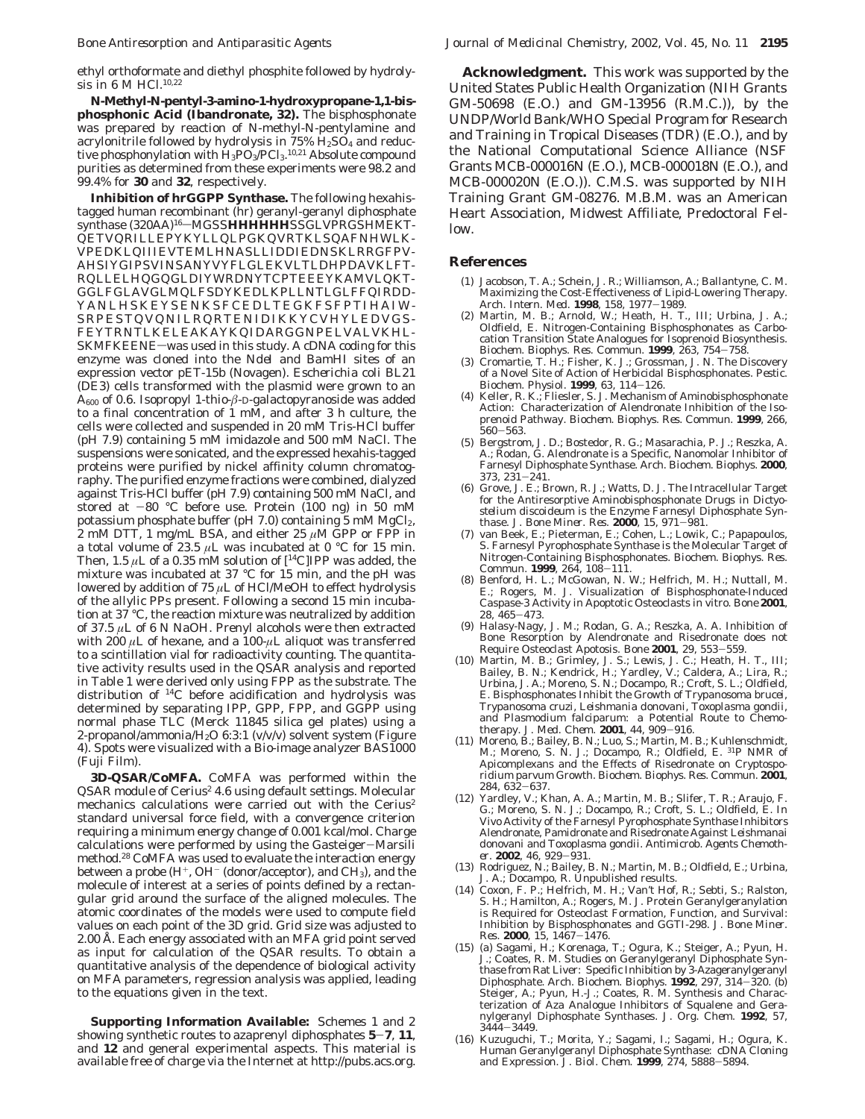ethyl orthoformate and diethyl phosphite followed by hydrolysis in 6 M HCl.<sup>10,22</sup>

*N-***Methyl***-N***-pentyl-3-amino-1-hydroxypropane-1,1-bisphosphonic Acid (Ibandronate, 32).** The bisphosphonate was prepared by reaction of *N*-methyl-*N*-pentylamine and acrylonitrile followed by hydrolysis in  $75\%$   $H_2SO_4$  and reductive phosphonylation with H<sub>3</sub>PO<sub>3</sub>/PCl<sub>3</sub>.<sup>10,21</sup> Absolute compound purities as determined from these experiments were 98.2 and 99.4% for **30** and **32**, respectively.

**Inhibition of hrGGPP Synthase.** The following hexahistagged human recombinant (hr) geranyl-geranyl diphosphate synthase (320AA)<sup>16</sup>-MGSSHHHHHHSSGLVPRGSHMEKT-QETVQRILLEPYKYLLQLPGKQVRTKLSQAFNHWLK-VPEDKLQIIIEVTEMLHNASLLIDDIEDNSKLRRGFPV-AHSIYGIPSVINSANYVYFLGLEKVLTLDHPDAVKLFT-RQLLELHQGQGLDIYWRDNYTCPTEEEYKAMVLQKT-GGLFGLAVGLMQLFSDYKEDLKPLLNTLGLFFQIRDD-YANLHSKEYSENKSFCEDLTEGKFSFPTIHAIW-SRPESTQVQNILRQRTENIDIKKYCVHYLEDVGS-FEYTRNTLKELEAKAYKQIDARGGNPELVALVKHL-SKMFKEENE-was used in this study. A cDNA coding for this enzyme was cloned into the *Nde*I and *Bam*HI sites of an expression vector pET-15b (Novagen). *Escherichia coli* BL21 (DE3) cells transformed with the plasmid were grown to an A600 of 0.6. Isopropyl 1-thio-*â*-D-galactopyranoside was added to a final concentration of 1 mM, and after 3 h culture, the cells were collected and suspended in 20 mM Tris-HCl buffer (pH 7.9) containing 5 mM imidazole and 500 mM NaCl. The suspensions were sonicated, and the expressed hexahis-tagged proteins were purified by nickel affinity column chromatography. The purified enzyme fractions were combined, dialyzed against Tris-HCl buffer (pH 7.9) containing 500 mM NaCl, and stored at  $-80$  °C before use. Protein (100 ng) in 50 mM potassium phosphate buffer (pH  $7.0$ ) containing 5 mM MgCl<sub>2</sub>,  $2 \text{ mM DTT}$ , 1 mg/mL BSA, and either  $25 \mu \text{M}$  GPP or FPP in a total volume of 23.5  $\mu$ L was incubated at 0 °C for 15 min. Then, 1.5  $\mu$ L of a 0.35 mM solution of  $[$ <sup>14</sup>C]IPP was added, the mixture was incubated at 37 °C for 15 min, and the pH was lowered by addition of 75 *µ*L of HCl/MeOH to effect hydrolysis of the allylic PPs present. Following a second 15 min incubation at 37 °C, the reaction mixture was neutralized by addition of 37.5 *µ*L of 6 N NaOH. Prenyl alcohols were then extracted with 200 *µ*L of hexane, and a 100-*µ*L aliquot was transferred to a scintillation vial for radioactivity counting. The quantitative activity results used in the QSAR analysis and reported in Table 1 were derived only using FPP as the substrate. The distribution of 14C before acidification and hydrolysis was determined by separating IPP, GPP, FPP, and GGPP using normal phase TLC (Merck 11845 silica gel plates) using a 2-propanol/ammonia/ $H_2O$  6:3:1 (v/v/v) solvent system (Figure 4). Spots were visualized with a Bio-image analyzer BAS1000 (Fuji Film).

**3D-QSAR/CoMFA.** CoMFA was performed within the QSAR module of Cerius<sup>2</sup> 4.6 using default settings. Molecular mechanics calculations were carried out with the Cerius<sup>2</sup> standard universal force field, with a convergence criterion requiring a minimum energy change of 0.001 kcal/mol. Charge calculations were performed by using the Gasteiger-Marsili method.<sup>28</sup> CoMFA was used to evaluate the interaction energy between a probe  $(H^+, OH^-$  (donor/acceptor), and CH<sub>3</sub>), and the molecule of interest at a series of points defined by a rectangular grid around the surface of the aligned molecules. The atomic coordinates of the models were used to compute field values on each point of the 3D grid. Grid size was adjusted to 2.00 Å. Each energy associated with an MFA grid point served as input for calculation of the QSAR results. To obtain a quantitative analysis of the dependence of biological activity on MFA parameters, regression analysis was applied, leading to the equations given in the text.

**Supporting Information Available:** Schemes 1 and 2 showing synthetic routes to azaprenyl diphosphates **<sup>5</sup>**-**7**, **<sup>11</sup>**, and **12** and general experimental aspects. This material is available free of charge via the Internet at http://pubs.acs.org.

**Acknowledgment.** This work was supported by the United States Public Health Organization (NIH Grants GM-50698 (E.O.) and GM-13956 (R.M.C.)), by the UNDP/World Bank/WHO Special Program for Research and Training in Tropical Diseases (TDR) (E.O.), and by the National Computational Science Alliance (NSF Grants MCB-000016N (E.O.), MCB-000018N (E.O.), and MCB-000020N (E.O.)). C.M.S. was supported by NIH Training Grant GM-08276. M.B.M. was an American Heart Association, Midwest Affiliate, Predoctoral Fellow.

#### **References**

- (1) Jacobson, T. A.; Schein, J. R.; Williamson, A.; Ballantyne, C. M. Maximizing the Cost-Effectiveness of Lipid-Lowering Therapy. *Arch. Intern. Med.* **<sup>1998</sup>**, *<sup>158</sup>*, 1977-1989.
- (2) Martin, M. B.; Arnold, W.; Heath, H. T., III; Urbina, J. A.; Oldfield, E. Nitrogen-Containing Bisphosphonates as Carbocation Transition State Analogues for Isoprenoid Biosynthesis. *Biochem. Biophys. Res. Commun.* **<sup>1999</sup>**, *<sup>263</sup>*, 754-758.
- (3) Cromartie, T. H.; Fisher, K. J.; Grossman, J. N. The Discovery of a Novel Site of Action of Herbicidal Bisphosphonates. *Pestic. Biochem. Physiol.* **<sup>1999</sup>**, *<sup>63</sup>*, 114-126.
- (4) Keller, R. K.; Fliesler, S. J. Mechanism of Aminobisphosphonate Action: Characterization of Alendronate Inhibition of the Isoprenoid Pathway. *Biochem. Biophys. Res. Commun.* **1999**, *266*, <sup>560</sup>-563. (5) Bergstrom, J. D.; Bostedor, R. G.; Masarachia, P. J.; Reszka, A.
- A.; Rodan, G. Alendronate is a Specific, Nanomolar Inhibitor of Farnesyl Diphosphate Synthase. *Arch. Biochem. Biophys.* **2000**,
- *<sup>373</sup>*, 231-241. (6) Grove, J. E.; Brown, R. J.; Watts, D. J. The Intracellular Target for the Antiresorptive Aminobisphosphonate Drugs in *Dictyostelium discoideum* is the Enzyme Farnesyl Diphosphate Syn-
- thase. *J. Bone Miner. Res.* **<sup>2000</sup>**, *<sup>15</sup>*, 971-981. (7) van Beek, E.; Pieterman, E.; Cohen, L.; Lowik, C.; Papapoulos, S. Farnesyl Pyrophosphate Synthase is the Molecular Target of Nitrogen-Containing Bisphosphonates. *Biochem. Biophys. Res. Commun.* **<sup>1999</sup>**, *<sup>264</sup>*, 108-111.
- (8) Benford, H. L.; McGowan, N. W.; Helfrich, M. H.; Nuttall, M. E.; Rogers, M. J. Visualization of Bisphosphonate-Induced Caspase-3 Activity in Apoptotic Osteoclasts in vitro. *Bone* **2001**,
- *<sup>28</sup>*, 465-473. (9) Halasy-Nagy, J. M.; Rodan, G. A.; Reszka, A. A. Inhibition of Bone Resorption by Alendronate and Risedronate does not Require Osteoclast Apotosis. Bone 2001, 29, 553-559. Require Osteoclast Apotosis. *Bone* **<sup>2001</sup>**, *<sup>29</sup>*, 553-559. (10) Martin, M. B.; Grimley, J. S.; Lewis, J. C.; Heath, H. T., III;
- Bailey, B. N.; Kendrick, H.; Yardley, V.; Caldera, A.; Lira, R.; Urbina, J. A.; Moreno, S. N.; Docampo, R.; Croft, S. L.; Oldfield, E. Bisphosphonates Inhibit the Growth of *Trypanosoma brucei*, *Trypanosoma cruzi*, *Leishmania donovani, Toxoplasma gondii*, and *Plasmodium falciparum*: a Potential Route to Chemotherapy. *J. Med. Chem.* **<sup>2001</sup>**, *<sup>44</sup>*, 909-916.
- (11) Moreno, B.; Bailey, B. N.; Luo, S.; Martin, M. B.; Kuhlenschmidt, M.; Moreno, S. N. J.; Docampo, R.; Oldfield, E. 31P NMR of Apicomplexans and the Effects of Risedronate on *Cryptosporidium parvum* Growth. *Biochem. Biophys. Res. Commun.* **2001**,
- *<sup>284</sup>*, 632-637. (12) Yardley, V.; Khan, A. A.; Martin, M. B.; Slifer, T. R.; Araujo, F. G.; Moreno, S. N. J.; Docampo, R.; Croft, S. L.; Oldfield, E. In Vivo Activity of the Farnesyl Pyrophosphate Synthase Inhibitors Alendronate, Pamidronate and Risedronate Against *Leishmanai donovani* and *Toxoplasma gondii*. *Antimicrob. Agents Chemoth-*
- *er.* **<sup>2002</sup>**, *<sup>46</sup>*, 929-931. (13) Rodriguez, N.; Bailey, B. N.; Martin, M. B.; Oldfield, E.; Urbina, J. A.; Docampo, R. Unpublished results.
- (14) Coxon, F. P.; Helfrich, M. H.; Van't Hof, R.; Sebti, S.; Ralston, S. H.; Hamilton, A.; Rogers, M. J. Protein Geranylgeranylation is Required for Osteoclast Formation, Function, and Survival: Inhibition by Bisphosphonates and GGTI-298. *J. Bone Miner.*
- *Res.* **<sup>2000</sup>**, *<sup>15</sup>*, 1467-1476. (15) (a) Sagami, H.; Korenaga, T.; Ogura, K.; Steiger, A.; Pyun, H. J.; Coates, R. M. Studies on Geranylgeranyl Diphosphate Synthase from Rat Liver: Specific Inhibition by 3-Azageranylgeranyl Diphosphate. *Arch. Biochem. Biophys.* **<sup>1992</sup>**, *<sup>297</sup>*, 314-320. (b) Steiger, A.; Pyun, H.-J.; Coates, R. M. Synthesis and Characterization of Aza Analogue Inhibitors of Squalene and Geranylgeranyl Diphosphate Synthases. *J. Org. Chem.* **1992**, *57*, <sup>3444</sup>-3449.
- (16) Kuzuguchi, T.; Morita, Y.; Sagami, I.; Sagami, H.; Ogura, K. Human Geranylgeranyl Diphosphate Synthase: cDNA Cloning and Expression. *J. Biol. Chem.* **<sup>1999</sup>**, *<sup>274</sup>*, 5888-5894.